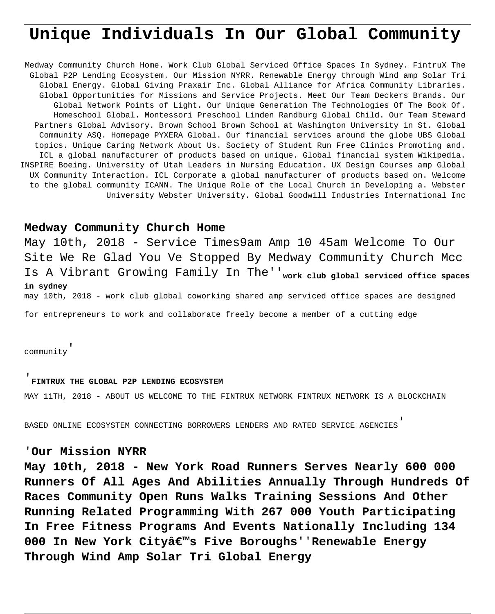# **Unique Individuals In Our Global Community**

Medway Community Church Home. Work Club Global Serviced Office Spaces In Sydney. FintruX The Global P2P Lending Ecosystem. Our Mission NYRR. Renewable Energy through Wind amp Solar Tri Global Energy. Global Giving Praxair Inc. Global Alliance for Africa Community Libraries. Global Opportunities for Missions and Service Projects. Meet Our Team Deckers Brands. Our Global Network Points of Light. Our Unique Generation The Technologies Of The Book Of. Homeschool Global. Montessori Preschool Linden Randburg Global Child. Our Team Steward Partners Global Advisory. Brown School Brown School at Washington University in St. Global Community ASQ. Homepage PYXERA Global. Our financial services around the globe UBS Global topics. Unique Caring Network About Us. Society of Student Run Free Clinics Promoting and. ICL a global manufacturer of products based on unique. Global financial system Wikipedia. INSPIRE Boeing. University of Utah Leaders in Nursing Education. UX Design Courses amp Global UX Community Interaction. ICL Corporate a global manufacturer of products based on. Welcome to the global community ICANN. The Unique Role of the Local Church in Developing a. Webster University Webster University. Global Goodwill Industries International Inc

### **Medway Community Church Home**

May 10th, 2018 - Service Times9am Amp 10 45am Welcome To Our Site We Re Glad You Ve Stopped By Medway Community Church Mcc Is A Vibrant Growing Family In The''**work club global serviced office spaces in sydney** may 10th, 2018 - work club global coworking shared amp serviced office spaces are designed

for entrepreneurs to work and collaborate freely become a member of a cutting edge

community'

#### '**FINTRUX THE GLOBAL P2P LENDING ECOSYSTEM**

MAY 11TH, 2018 - ABOUT US WELCOME TO THE FINTRUX NETWORK FINTRUX NETWORK IS A BLOCKCHAIN

BASED ONLINE ECOSYSTEM CONNECTING BORROWERS LENDERS AND RATED SERVICE AGENCIES'

## '**Our Mission NYRR**

**May 10th, 2018 - New York Road Runners Serves Nearly 600 000 Runners Of All Ages And Abilities Annually Through Hundreds Of Races Community Open Runs Walks Training Sessions And Other Running Related Programming With 267 000 Youth Participating In Free Fitness Programs And Events Nationally Including 134 000 In New York City's Five Boroughs**''**Renewable Energy Through Wind Amp Solar Tri Global Energy**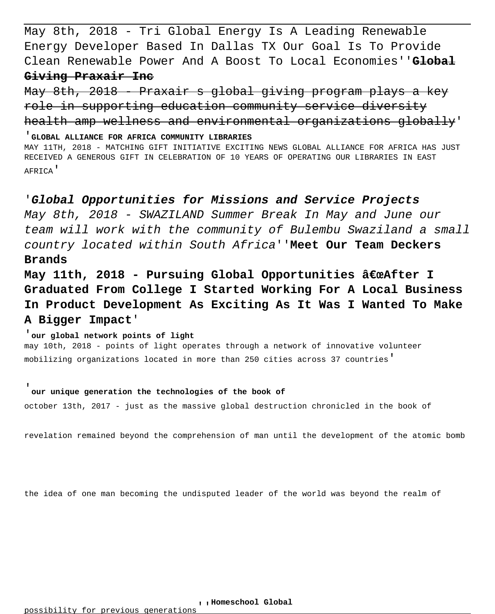May 8th, 2018 - Tri Global Energy Is A Leading Renewable Energy Developer Based In Dallas TX Our Goal Is To Provide Clean Renewable Power And A Boost To Local Economies''**Global Giving Praxair Inc**

May 8th, 2018 - Praxair s global giving program plays a key role in supporting education community service diversity health amp wellness and environmental organizations globally'

'**GLOBAL ALLIANCE FOR AFRICA COMMUNITY LIBRARIES** MAY 11TH, 2018 - MATCHING GIFT INITIATIVE EXCITING NEWS GLOBAL ALLIANCE FOR AFRICA HAS JUST RECEIVED A GENEROUS GIFT IN CELEBRATION OF 10 YEARS OF OPERATING OUR LIBRARIES IN EAST AFRICA'

## '**Global Opportunities for Missions and Service Projects**

May 8th, 2018 - SWAZILAND Summer Break In May and June our team will work with the community of Bulembu Swaziland a small country located within South Africa''**Meet Our Team Deckers Brands**

May 11th, 2018 - Pursuing Global Opportunities "After I **Graduated From College I Started Working For A Local Business In Product Development As Exciting As It Was I Wanted To Make A Bigger Impact**'

#### '**our global network points of light**

may 10th, 2018 - points of light operates through a network of innovative volunteer mobilizing organizations located in more than 250 cities across 37 countries'

#### '**our unique generation the technologies of the book of**

october 13th, 2017 - just as the massive global destruction chronicled in the book of

revelation remained beyond the comprehension of man until the development of the atomic bomb

the idea of one man becoming the undisputed leader of the world was beyond the realm of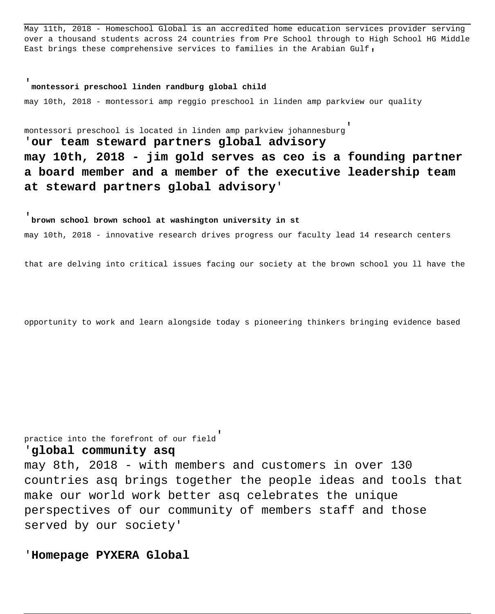May 11th, 2018 - Homeschool Global is an accredited home education services provider serving over a thousand students across 24 countries from Pre School through to High School HG Middle East brings these comprehensive services to families in the Arabian Gulf,

## '**montessori preschool linden randburg global child**

may 10th, 2018 - montessori amp reggio preschool in linden amp parkview our quality

montessori preschool is located in linden amp parkview johannesburg'

'**our team steward partners global advisory may 10th, 2018 - jim gold serves as ceo is a founding partner a board member and a member of the executive leadership team at steward partners global advisory**'

'**brown school brown school at washington university in st** may 10th, 2018 - innovative research drives progress our faculty lead 14 research centers

that are delving into critical issues facing our society at the brown school you ll have the

opportunity to work and learn alongside today s pioneering thinkers bringing evidence based

practice into the forefront of our field'

#### '**global community asq**

may 8th, 2018 - with members and customers in over 130 countries asq brings together the people ideas and tools that make our world work better asq celebrates the unique perspectives of our community of members staff and those served by our society'

'**Homepage PYXERA Global**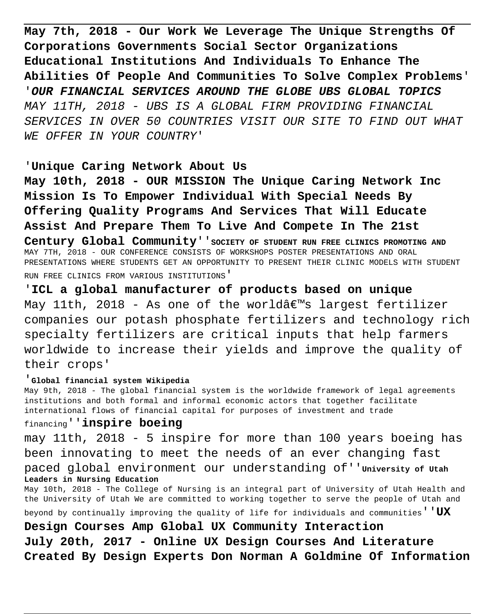**May 7th, 2018 - Our Work We Leverage The Unique Strengths Of Corporations Governments Social Sector Organizations Educational Institutions And Individuals To Enhance The Abilities Of People And Communities To Solve Complex Problems**' '**OUR FINANCIAL SERVICES AROUND THE GLOBE UBS GLOBAL TOPICS** MAY 11TH, 2018 - UBS IS A GLOBAL FIRM PROVIDING FINANCIAL SERVICES IN OVER 50 COUNTRIES VISIT OUR SITE TO FIND OUT WHAT WE OFFER IN YOUR COUNTRY'

## '**Unique Caring Network About Us**

**May 10th, 2018 - OUR MISSION The Unique Caring Network Inc Mission Is To Empower Individual With Special Needs By Offering Quality Programs And Services That Will Educate Assist And Prepare Them To Live And Compete In The 21st**

Century Global Community'' SOCIETY OF STUDENT RUN FREE CLINICS PROMOTING AND MAY 7TH, 2018 - OUR CONFERENCE CONSISTS OF WORKSHOPS POSTER PRESENTATIONS AND ORAL PRESENTATIONS WHERE STUDENTS GET AN OPPORTUNITY TO PRESENT THEIR CLINIC MODELS WITH STUDENT RUN FREE CLINICS FROM VARIOUS INSTITUTIONS'

'**ICL a global manufacturer of products based on unique** May 11th, 2018 - As one of the world $\hat{a} \in \mathbb{N}$ s largest fertilizer companies our potash phosphate fertilizers and technology rich specialty fertilizers are critical inputs that help farmers worldwide to increase their yields and improve the quality of their crops'

#### '**Global financial system Wikipedia**

May 9th, 2018 - The global financial system is the worldwide framework of legal agreements institutions and both formal and informal economic actors that together facilitate international flows of financial capital for purposes of investment and trade

#### financing''**inspire boeing**

may 11th, 2018 - 5 inspire for more than 100 years boeing has been innovating to meet the needs of an ever changing fast paced global environment our understanding of''**University of Utah Leaders in Nursing Education**

May 10th, 2018 - The College of Nursing is an integral part of University of Utah Health and the University of Utah We are committed to working together to serve the people of Utah and

beyond by continually improving the quality of life for individuals and communities''**UX**

**Design Courses Amp Global UX Community Interaction July 20th, 2017 - Online UX Design Courses And Literature Created By Design Experts Don Norman A Goldmine Of Information**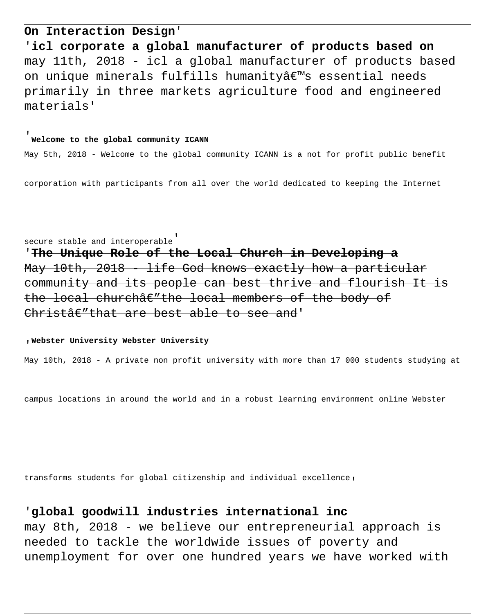## **On Interaction Design**'

'**icl corporate a global manufacturer of products based on** may 11th, 2018 - icl a global manufacturer of products based on unique minerals fulfills humanity's essential needs primarily in three markets agriculture food and engineered materials'

## '**Welcome to the global community ICANN**

May 5th, 2018 - Welcome to the global community ICANN is a not for profit public benefit

corporation with participants from all over the world dedicated to keeping the Internet

secure stable and interoperable' '**The Unique Role of the Local Church in Developing a** May 10th, 2018 - life God knows exactly how a particular community and its people can best thrive and flourish It is the local church $\hat{a}\in$ "the local members of the body of  $Christ \hat{a} \in "that are best able to see and'$ 

#### '**Webster University Webster University**

May 10th, 2018 - A private non profit university with more than 17 000 students studying at

campus locations in around the world and in a robust learning environment online Webster

transforms students for global citizenship and individual excellence'

## '**global goodwill industries international inc**

may 8th, 2018 - we believe our entrepreneurial approach is needed to tackle the worldwide issues of poverty and unemployment for over one hundred years we have worked with